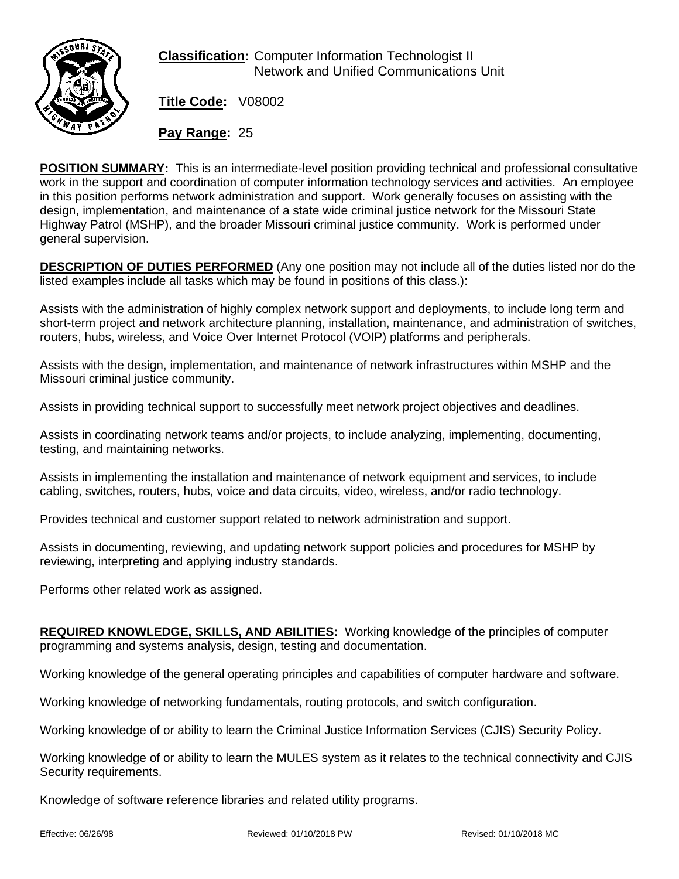

**Classification:** Computer Information Technologist II Network and Unified Communications Unit

**Title Code:** V08002

**Pay Range:** 25

**POSITION SUMMARY:** This is an intermediate-level position providing technical and professional consultative work in the support and coordination of computer information technology services and activities. An employee in this position performs network administration and support. Work generally focuses on assisting with the design, implementation, and maintenance of a state wide criminal justice network for the Missouri State Highway Patrol (MSHP), and the broader Missouri criminal justice community. Work is performed under general supervision.

**DESCRIPTION OF DUTIES PERFORMED** (Any one position may not include all of the duties listed nor do the listed examples include all tasks which may be found in positions of this class.):

Assists with the administration of highly complex network support and deployments, to include long term and short-term project and network architecture planning, installation, maintenance, and administration of switches, routers, hubs, wireless, and Voice Over Internet Protocol (VOIP) platforms and peripherals.

Assists with the design, implementation, and maintenance of network infrastructures within MSHP and the Missouri criminal justice community.

Assists in providing technical support to successfully meet network project objectives and deadlines.

Assists in coordinating network teams and/or projects, to include analyzing, implementing, documenting, testing, and maintaining networks.

Assists in implementing the installation and maintenance of network equipment and services, to include cabling, switches, routers, hubs, voice and data circuits, video, wireless, and/or radio technology.

Provides technical and customer support related to network administration and support.

Assists in documenting, reviewing, and updating network support policies and procedures for MSHP by reviewing, interpreting and applying industry standards.

Performs other related work as assigned.

**REQUIRED KNOWLEDGE, SKILLS, AND ABILITIES:** Working knowledge of the principles of computer programming and systems analysis, design, testing and documentation.

Working knowledge of the general operating principles and capabilities of computer hardware and software.

Working knowledge of networking fundamentals, routing protocols, and switch configuration.

Working knowledge of or ability to learn the Criminal Justice Information Services (CJIS) Security Policy.

Working knowledge of or ability to learn the MULES system as it relates to the technical connectivity and CJIS Security requirements.

Knowledge of software reference libraries and related utility programs.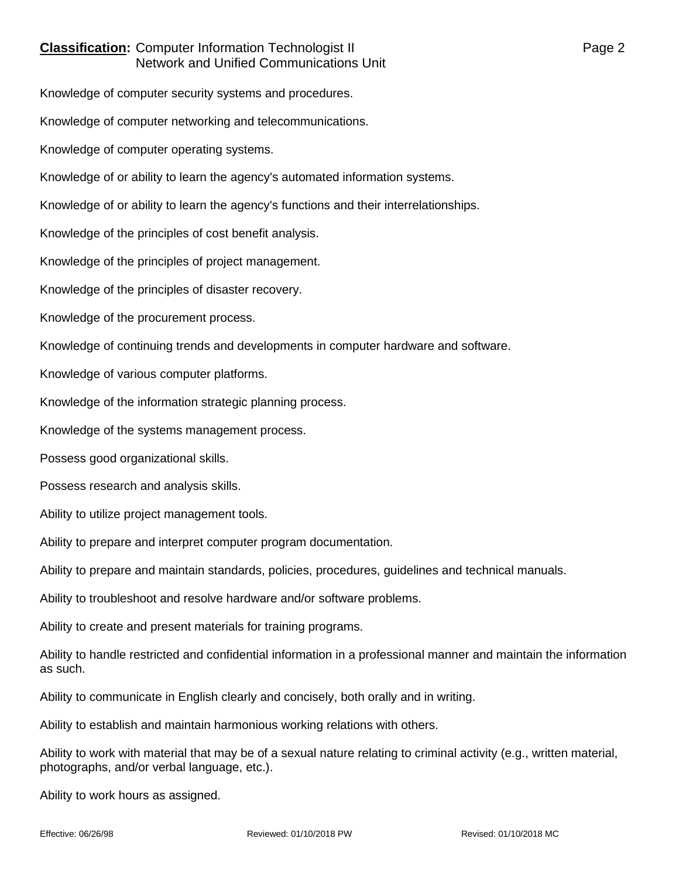## **Classification:** Computer Information Technologist II **Classification:** Page 2 Network and Unified Communications Unit

Knowledge of computer security systems and procedures.

Knowledge of computer networking and telecommunications.

Knowledge of computer operating systems.

Knowledge of or ability to learn the agency's automated information systems.

Knowledge of or ability to learn the agency's functions and their interrelationships.

Knowledge of the principles of cost benefit analysis.

Knowledge of the principles of project management.

Knowledge of the principles of disaster recovery.

Knowledge of the procurement process.

Knowledge of continuing trends and developments in computer hardware and software.

Knowledge of various computer platforms.

Knowledge of the information strategic planning process.

Knowledge of the systems management process.

Possess good organizational skills.

Possess research and analysis skills.

Ability to utilize project management tools.

Ability to prepare and interpret computer program documentation.

Ability to prepare and maintain standards, policies, procedures, guidelines and technical manuals.

Ability to troubleshoot and resolve hardware and/or software problems.

Ability to create and present materials for training programs.

Ability to handle restricted and confidential information in a professional manner and maintain the information as such.

Ability to communicate in English clearly and concisely, both orally and in writing.

Ability to establish and maintain harmonious working relations with others.

Ability to work with material that may be of a sexual nature relating to criminal activity (e.g., written material, photographs, and/or verbal language, etc.).

Ability to work hours as assigned.